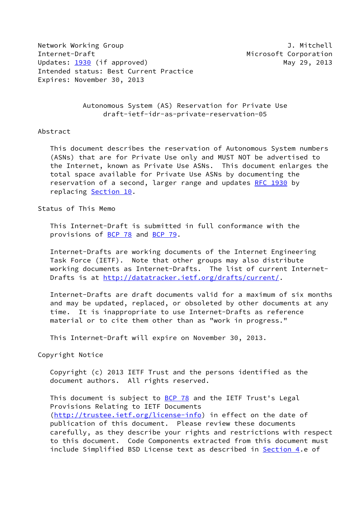Network Working Group **J. Mitchell** Internet-Draft Microsoft Corporation Updates: [1930](https://datatracker.ietf.org/doc/pdf/rfc1930) (if approved) May 29, 2013 Intended status: Best Current Practice Expires: November 30, 2013

 Autonomous System (AS) Reservation for Private Use draft-ietf-idr-as-private-reservation-05

## Abstract

 This document describes the reservation of Autonomous System numbers (ASNs) that are for Private Use only and MUST NOT be advertised to the Internet, known as Private Use ASNs. This document enlarges the total space available for Private Use ASNs by documenting the reservation of a second, larger range and updates [RFC 1930](https://datatracker.ietf.org/doc/pdf/rfc1930) by replacing Section 10.

# Status of This Memo

 This Internet-Draft is submitted in full conformance with the provisions of [BCP 78](https://datatracker.ietf.org/doc/pdf/bcp78) and [BCP 79](https://datatracker.ietf.org/doc/pdf/bcp79).

 Internet-Drafts are working documents of the Internet Engineering Task Force (IETF). Note that other groups may also distribute working documents as Internet-Drafts. The list of current Internet Drafts is at<http://datatracker.ietf.org/drafts/current/>.

 Internet-Drafts are draft documents valid for a maximum of six months and may be updated, replaced, or obsoleted by other documents at any time. It is inappropriate to use Internet-Drafts as reference material or to cite them other than as "work in progress."

This Internet-Draft will expire on November 30, 2013.

#### Copyright Notice

 Copyright (c) 2013 IETF Trust and the persons identified as the document authors. All rights reserved.

This document is subject to **[BCP 78](https://datatracker.ietf.org/doc/pdf/bcp78)** and the IETF Trust's Legal Provisions Relating to IETF Documents [\(http://trustee.ietf.org/license-info](http://trustee.ietf.org/license-info)) in effect on the date of publication of this document. Please review these documents carefully, as they describe your rights and restrictions with respect to this document. Code Components extracted from this document must include Simplified BSD License text as described in [Section 4.](#page-1-0)e of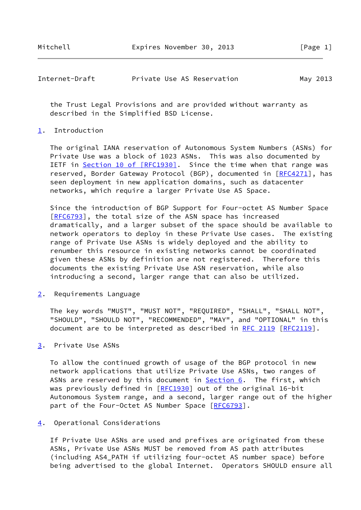| Internet-Draft |  |  | Private Use AS Reservation | May 2013 |
|----------------|--|--|----------------------------|----------|
|----------------|--|--|----------------------------|----------|

 the Trust Legal Provisions and are provided without warranty as described in the Simplified BSD License.

# <span id="page-1-1"></span>[1](#page-1-1). Introduction

 The original IANA reservation of Autonomous System Numbers (ASNs) for Private Use was a block of 1023 ASNs. This was also documented by IETF in Section [10 of \[RFC1930\]](https://datatracker.ietf.org/doc/pdf/rfc1930#section-10). Since the time when that range was reserved, Border Gateway Protocol (BGP), documented in [\[RFC4271](https://datatracker.ietf.org/doc/pdf/rfc4271)], has seen deployment in new application domains, such as datacenter networks, which require a larger Private Use AS Space.

 Since the introduction of BGP Support for Four-octet AS Number Space [\[RFC6793](https://datatracker.ietf.org/doc/pdf/rfc6793)], the total size of the ASN space has increased dramatically, and a larger subset of the space should be available to network operators to deploy in these Private Use cases. The existing range of Private Use ASNs is widely deployed and the ability to renumber this resource in existing networks cannot be coordinated given these ASNs by definition are not registered. Therefore this documents the existing Private Use ASN reservation, while also introducing a second, larger range that can also be utilized.

<span id="page-1-2"></span>[2](#page-1-2). Requirements Language

 The key words "MUST", "MUST NOT", "REQUIRED", "SHALL", "SHALL NOT", "SHOULD", "SHOULD NOT", "RECOMMENDED", "MAY", and "OPTIONAL" in this document are to be interpreted as described in [RFC 2119 \[RFC2119](https://datatracker.ietf.org/doc/pdf/rfc2119)].

<span id="page-1-3"></span>[3](#page-1-3). Private Use ASNs

 To allow the continued growth of usage of the BGP protocol in new network applications that utilize Private Use ASNs, two ranges of ASNs are reserved by this document in **Section 6.** The first, which was previously defined in [[RFC1930](https://datatracker.ietf.org/doc/pdf/rfc1930)] out of the original 16-bit Autonomous System range, and a second, larger range out of the higher part of the Four-Octet AS Number Space [\[RFC6793](https://datatracker.ietf.org/doc/pdf/rfc6793)].

<span id="page-1-0"></span>[4](#page-1-0). Operational Considerations

 If Private Use ASNs are used and prefixes are originated from these ASNs, Private Use ASNs MUST be removed from AS path attributes (including AS4\_PATH if utilizing four-octet AS number space) before being advertised to the global Internet. Operators SHOULD ensure all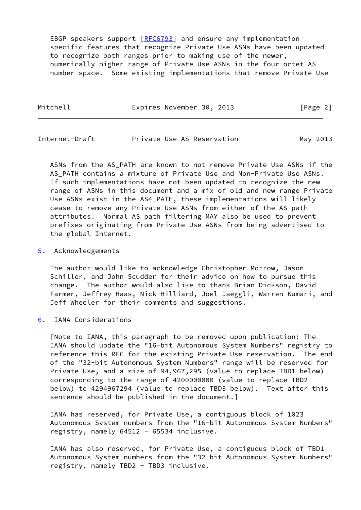EBGP speakers support [[RFC6793](https://datatracker.ietf.org/doc/pdf/rfc6793)] and ensure any implementation specific features that recognize Private Use ASNs have been updated to recognize both ranges prior to making use of the newer, numerically higher range of Private Use ASNs in the four-octet AS number space. Some existing implementations that remove Private Use

Mitchell **Expires November 30, 2013** [Page 2]

Internet-Draft Private Use AS Reservation May 2013

 ASNs from the AS\_PATH are known to not remove Private Use ASNs if the AS\_PATH contains a mixture of Private Use and Non-Private Use ASNs. If such implementations have not been updated to recognize the new range of ASNs in this document and a mix of old and new range Private Use ASNs exist in the AS4\_PATH, these implementations will likely cease to remove any Private Use ASNs from either of the AS path attributes. Normal AS path filtering MAY also be used to prevent prefixes originating from Private Use ASNs from being advertised to the global Internet.

## <span id="page-2-1"></span>[5](#page-2-1). Acknowledgements

 The author would like to acknowledge Christopher Morrow, Jason Schiller, and John Scudder for their advice on how to pursue this change. The author would also like to thank Brian Dickson, David Farmer, Jeffrey Haas, Nick Hilliard, Joel Jaeggli, Warren Kumari, and Jeff Wheeler for their comments and suggestions.

<span id="page-2-0"></span>[6](#page-2-0). IANA Considerations

 [Note to IANA, this paragraph to be removed upon publication: The IANA should update the "16-bit Autonomous System Numbers" registry to reference this RFC for the existing Private Use reservation. The end of the "32-bit Autonomous System Numbers" range will be reserved for Private Use, and a size of 94,967,295 (value to replace TBD1 below) corresponding to the range of 4200000000 (value to replace TBD2 below) to 4294967294 (value to replace TBD3 below). Text after this sentence should be published in the document.]

 IANA has reserved, for Private Use, a contiguous block of 1023 Autonomous System numbers from the "16-bit Autonomous System Numbers" registry, namely 64512 - 65534 inclusive.

 IANA has also reserved, for Private Use, a contiguous block of TBD1 Autonomous System numbers from the "32-bit Autonomous System Numbers" registry, namely TBD2 - TBD3 inclusive.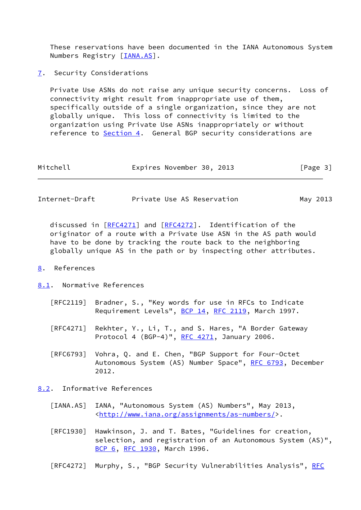These reservations have been documented in the IANA Autonomous System Numbers Registry [\[IANA.AS](#page-3-0)].

<span id="page-3-1"></span>[7](#page-3-1). Security Considerations

 Private Use ASNs do not raise any unique security concerns. Loss of connectivity might result from inappropriate use of them, specifically outside of a single organization, since they are not globally unique. This loss of connectivity is limited to the organization using Private Use ASNs inappropriately or without reference to [Section 4](#page-1-0). General BGP security considerations are

| Mitchell |  | Expires November 30, 2013 |  |  | [Page 3] |
|----------|--|---------------------------|--|--|----------|
|----------|--|---------------------------|--|--|----------|

| Internet-Draft | Private Use AS Reservation | May 2013 |
|----------------|----------------------------|----------|
|----------------|----------------------------|----------|

 discussed in [\[RFC4271](https://datatracker.ietf.org/doc/pdf/rfc4271)] and [[RFC4272\]](https://datatracker.ietf.org/doc/pdf/rfc4272). Identification of the originator of a route with a Private Use ASN in the AS path would have to be done by tracking the route back to the neighboring globally unique AS in the path or by inspecting other attributes.

- <span id="page-3-2"></span>[8](#page-3-2). References
- <span id="page-3-3"></span>[8.1](#page-3-3). Normative References
	- [RFC2119] Bradner, S., "Key words for use in RFCs to Indicate Requirement Levels", [BCP 14](https://datatracker.ietf.org/doc/pdf/bcp14), [RFC 2119](https://datatracker.ietf.org/doc/pdf/rfc2119), March 1997.
	- [RFC4271] Rekhter, Y., Li, T., and S. Hares, "A Border Gateway Protocol 4 (BGP-4)", [RFC 4271](https://datatracker.ietf.org/doc/pdf/rfc4271), January 2006.
	- [RFC6793] Vohra, Q. and E. Chen, "BGP Support for Four-Octet Autonomous System (AS) Number Space", [RFC 6793](https://datatracker.ietf.org/doc/pdf/rfc6793), December 2012.

<span id="page-3-4"></span>[8.2](#page-3-4). Informative References

- <span id="page-3-0"></span> [IANA.AS] IANA, "Autonomous System (AS) Numbers", May 2013, <[http://www.iana.org/assignments/as-numbers/>](http://www.iana.org/assignments/as-numbers/).
- [RFC1930] Hawkinson, J. and T. Bates, "Guidelines for creation, selection, and registration of an Autonomous System (AS)", [BCP 6,](https://datatracker.ietf.org/doc/pdf/bcp6) [RFC 1930](https://datatracker.ietf.org/doc/pdf/rfc1930), March 1996.
- [RFC4272] Murphy, S., "BGP Security Vulnerabilities Analysis", [RFC](https://datatracker.ietf.org/doc/pdf/rfc4272)